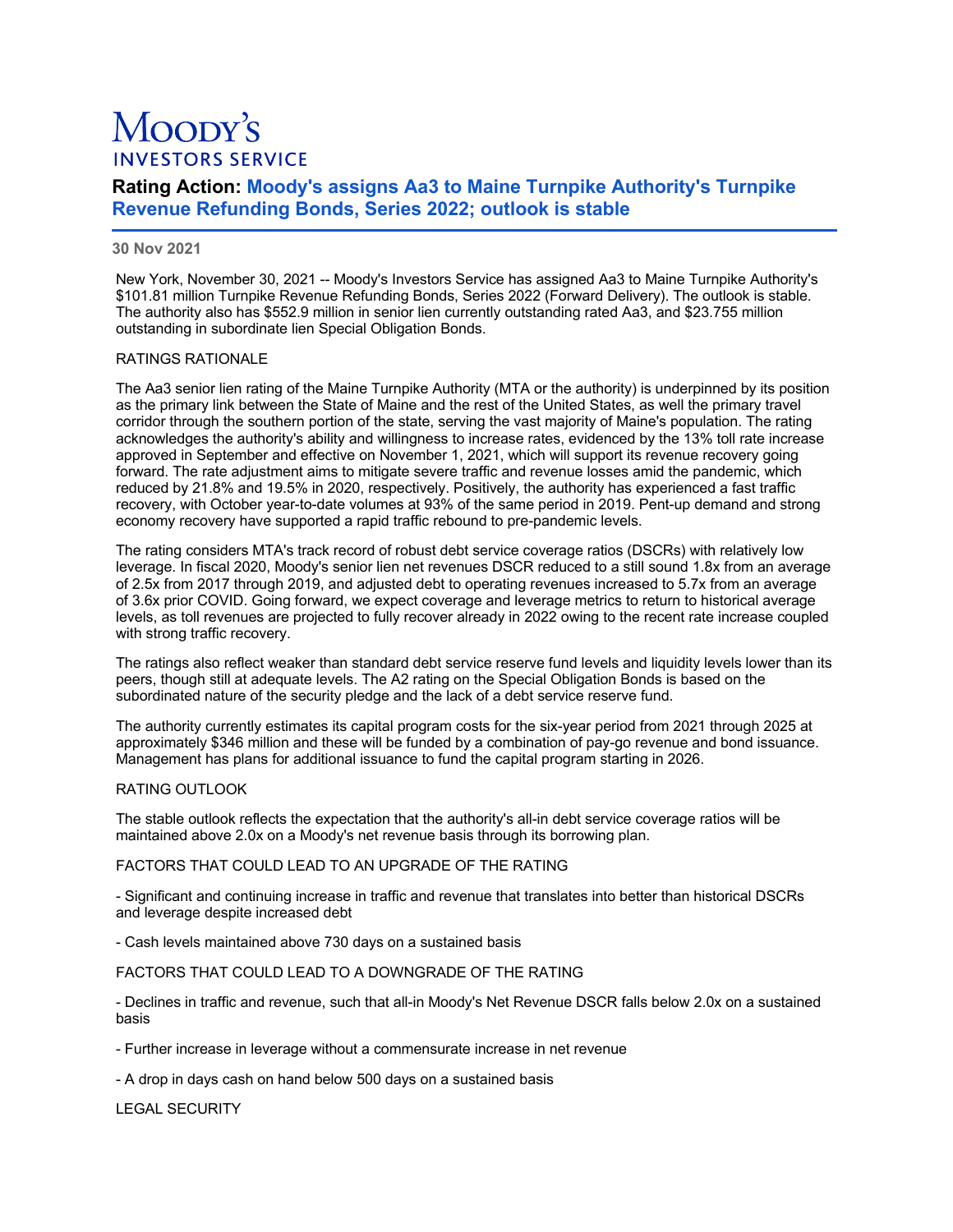# Moopy's **INVESTORS SERVICE**

# **Rating Action: Moody's assigns Aa3 to Maine Turnpike Authority's Turnpike Revenue Refunding Bonds, Series 2022; outlook is stable**

## **30 Nov 2021**

New York, November 30, 2021 -- Moody's Investors Service has assigned Aa3 to Maine Turnpike Authority's \$101.81 million Turnpike Revenue Refunding Bonds, Series 2022 (Forward Delivery). The outlook is stable. The authority also has \$552.9 million in senior lien currently outstanding rated Aa3, and \$23.755 million outstanding in subordinate lien Special Obligation Bonds.

### RATINGS RATIONALE

The Aa3 senior lien rating of the Maine Turnpike Authority (MTA or the authority) is underpinned by its position as the primary link between the State of Maine and the rest of the United States, as well the primary travel corridor through the southern portion of the state, serving the vast majority of Maine's population. The rating acknowledges the authority's ability and willingness to increase rates, evidenced by the 13% toll rate increase approved in September and effective on November 1, 2021, which will support its revenue recovery going forward. The rate adjustment aims to mitigate severe traffic and revenue losses amid the pandemic, which reduced by 21.8% and 19.5% in 2020, respectively. Positively, the authority has experienced a fast traffic recovery, with October year-to-date volumes at 93% of the same period in 2019. Pent-up demand and strong economy recovery have supported a rapid traffic rebound to pre-pandemic levels.

The rating considers MTA's track record of robust debt service coverage ratios (DSCRs) with relatively low leverage. In fiscal 2020, Moody's senior lien net revenues DSCR reduced to a still sound 1.8x from an average of 2.5x from 2017 through 2019, and adjusted debt to operating revenues increased to 5.7x from an average of 3.6x prior COVID. Going forward, we expect coverage and leverage metrics to return to historical average levels, as toll revenues are projected to fully recover already in 2022 owing to the recent rate increase coupled with strong traffic recovery.

The ratings also reflect weaker than standard debt service reserve fund levels and liquidity levels lower than its peers, though still at adequate levels. The A2 rating on the Special Obligation Bonds is based on the subordinated nature of the security pledge and the lack of a debt service reserve fund.

The authority currently estimates its capital program costs for the six-year period from 2021 through 2025 at approximately \$346 million and these will be funded by a combination of pay-go revenue and bond issuance. Management has plans for additional issuance to fund the capital program starting in 2026.

#### RATING OUTLOOK

The stable outlook reflects the expectation that the authority's all-in debt service coverage ratios will be maintained above 2.0x on a Moody's net revenue basis through its borrowing plan.

#### FACTORS THAT COULD LEAD TO AN UPGRADE OF THE RATING

- Significant and continuing increase in traffic and revenue that translates into better than historical DSCRs and leverage despite increased debt

- Cash levels maintained above 730 days on a sustained basis

#### FACTORS THAT COULD LEAD TO A DOWNGRADE OF THE RATING

- Declines in traffic and revenue, such that all-in Moody's Net Revenue DSCR falls below 2.0x on a sustained basis

- Further increase in leverage without a commensurate increase in net revenue

- A drop in days cash on hand below 500 days on a sustained basis

LEGAL SECURITY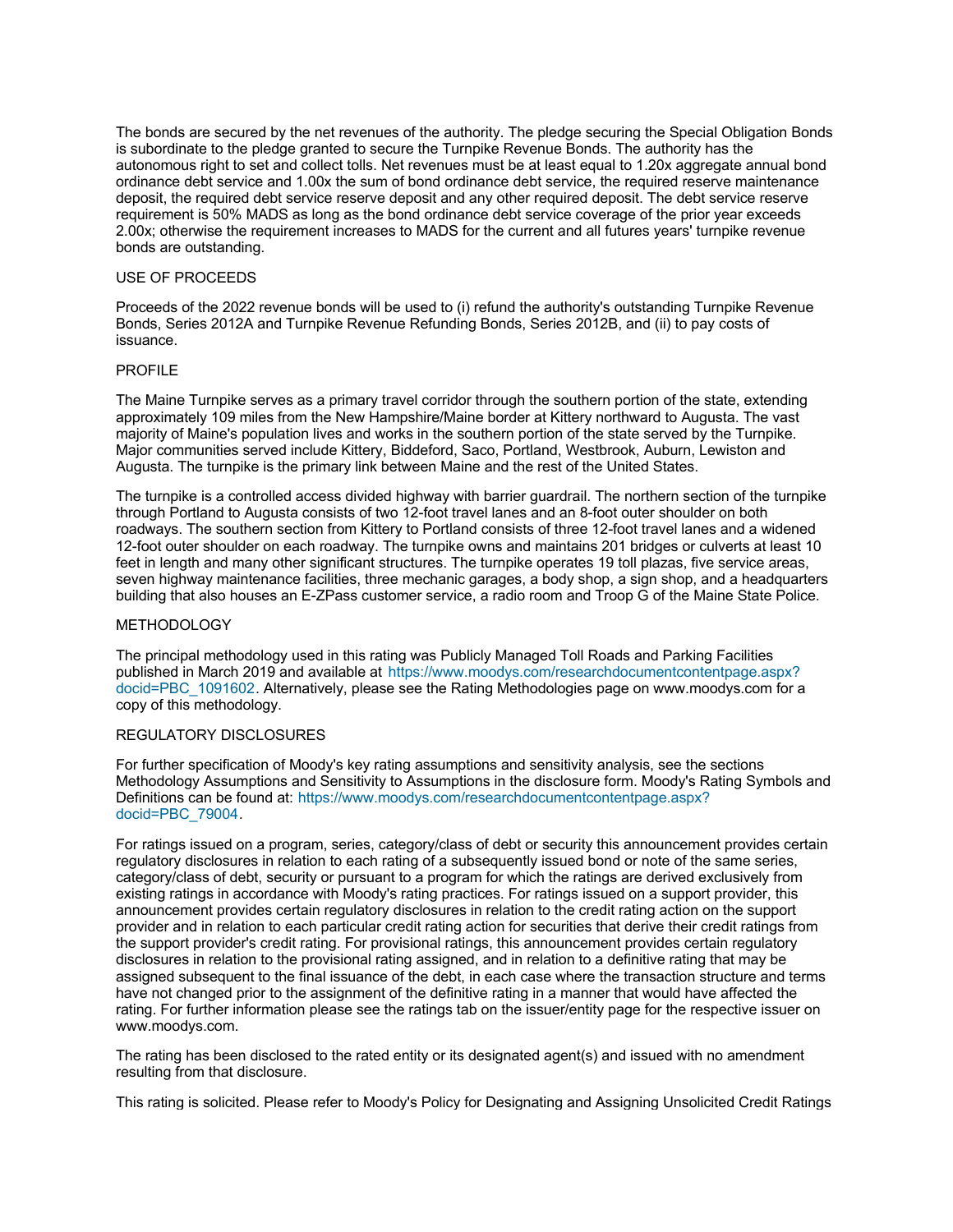The bonds are secured by the net revenues of the authority. The pledge securing the Special Obligation Bonds is subordinate to the pledge granted to secure the Turnpike Revenue Bonds. The authority has the autonomous right to set and collect tolls. Net revenues must be at least equal to 1.20x aggregate annual bond ordinance debt service and 1.00x the sum of bond ordinance debt service, the required reserve maintenance deposit, the required debt service reserve deposit and any other required deposit. The debt service reserve requirement is 50% MADS as long as the bond ordinance debt service coverage of the prior year exceeds 2.00x; otherwise the requirement increases to MADS for the current and all futures years' turnpike revenue bonds are outstanding.

#### USE OF PROCEEDS

Proceeds of the 2022 revenue bonds will be used to (i) refund the authority's outstanding Turnpike Revenue Bonds, Series 2012A and Turnpike Revenue Refunding Bonds, Series 2012B, and (ii) to pay costs of issuance.

#### **PROFILE**

The Maine Turnpike serves as a primary travel corridor through the southern portion of the state, extending approximately 109 miles from the New Hampshire/Maine border at Kittery northward to Augusta. The vast majority of Maine's population lives and works in the southern portion of the state served by the Turnpike. Major communities served include Kittery, Biddeford, Saco, Portland, Westbrook, Auburn, Lewiston and Augusta. The turnpike is the primary link between Maine and the rest of the United States.

The turnpike is a controlled access divided highway with barrier guardrail. The northern section of the turnpike through Portland to Augusta consists of two 12-foot travel lanes and an 8-foot outer shoulder on both roadways. The southern section from Kittery to Portland consists of three 12-foot travel lanes and a widened 12-foot outer shoulder on each roadway. The turnpike owns and maintains 201 bridges or culverts at least 10 feet in length and many other significant structures. The turnpike operates 19 toll plazas, five service areas, seven highway maintenance facilities, three mechanic garages, a body shop, a sign shop, and a headquarters building that also houses an E-ZPass customer service, a radio room and Troop G of the Maine State Police.

#### METHODOLOGY

The principal methodology used in this rating was Publicly Managed Toll Roads and Parking Facilities [published in March 2019 and available at https://www.moodys.com/researchdocumentcontentpage.aspx?](https://www.moodys.com/researchdocumentcontentpage.aspx?docid=PBC_1091602) docid=PBC\_1091602. Alternatively, please see the Rating Methodologies page on www.moodys.com for a copy of this methodology.

#### REGULATORY DISCLOSURES

For further specification of Moody's key rating assumptions and sensitivity analysis, see the sections Methodology Assumptions and Sensitivity to Assumptions in the disclosure form. Moody's Rating Symbols and [Definitions can be found at: https://www.moodys.com/researchdocumentcontentpage.aspx?](https://www.moodys.com/researchdocumentcontentpage.aspx?docid=PBC_79004) docid=PBC\_79004.

For ratings issued on a program, series, category/class of debt or security this announcement provides certain regulatory disclosures in relation to each rating of a subsequently issued bond or note of the same series, category/class of debt, security or pursuant to a program for which the ratings are derived exclusively from existing ratings in accordance with Moody's rating practices. For ratings issued on a support provider, this announcement provides certain regulatory disclosures in relation to the credit rating action on the support provider and in relation to each particular credit rating action for securities that derive their credit ratings from the support provider's credit rating. For provisional ratings, this announcement provides certain regulatory disclosures in relation to the provisional rating assigned, and in relation to a definitive rating that may be assigned subsequent to the final issuance of the debt, in each case where the transaction structure and terms have not changed prior to the assignment of the definitive rating in a manner that would have affected the rating. For further information please see the ratings tab on the issuer/entity page for the respective issuer on www.moodys.com.

The rating has been disclosed to the rated entity or its designated agent(s) and issued with no amendment resulting from that disclosure.

This rating is solicited. Please refer to Moody's Policy for Designating and Assigning Unsolicited Credit Ratings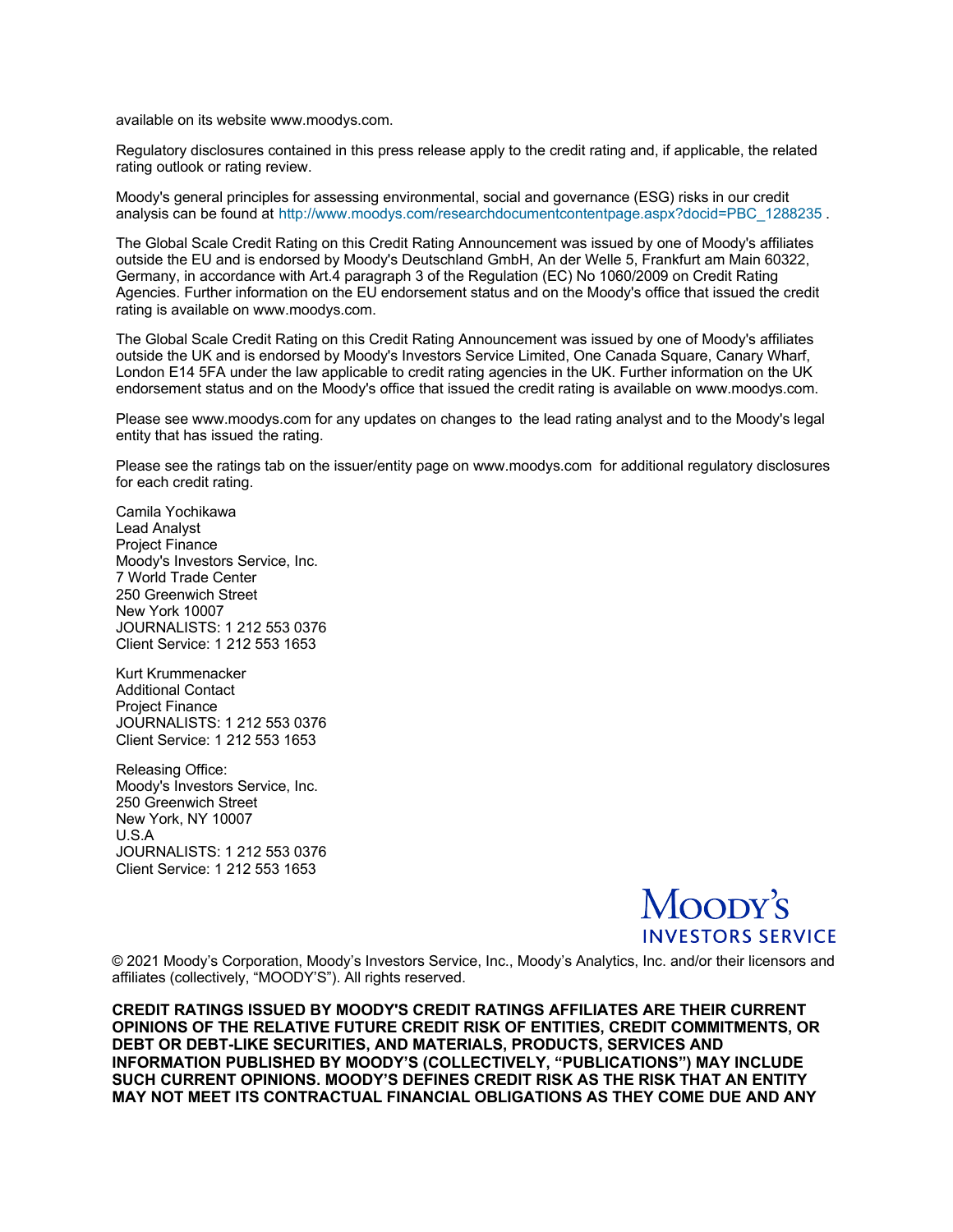available on its website www.moodys.com.

Regulatory disclosures contained in this press release apply to the credit rating and, if applicable, the related rating outlook or rating review.

Moody's general principles for assessing environmental, social and governance (ESG) risks in our credit analysis can be found at [http://www.moodys.com/researchdocumentcontentpage.aspx?docid=PBC\\_1288235](http://www.moodys.com/researchdocumentcontentpage.aspx?docid=PBC_1288235)

The Global Scale Credit Rating on this Credit Rating Announcement was issued by one of Moody's affiliates outside the EU and is endorsed by Moody's Deutschland GmbH, An der Welle 5, Frankfurt am Main 60322, Germany, in accordance with Art.4 paragraph 3 of the Regulation (EC) No 1060/2009 on Credit Rating Agencies. Further information on the EU endorsement status and on the Moody's office that issued the credit rating is available on www.moodys.com.

The Global Scale Credit Rating on this Credit Rating Announcement was issued by one of Moody's affiliates outside the UK and is endorsed by Moody's Investors Service Limited, One Canada Square, Canary Wharf, London E14 5FA under the law applicable to credit rating agencies in the UK. Further information on the UK endorsement status and on the Moody's office that issued the credit rating is available on www.moodys.com.

Please see www.moodys.com for any updates on changes to the lead rating analyst and to the Moody's legal entity that has issued the rating.

Please see the ratings tab on the issuer/entity page on www.moodys.com for additional regulatory disclosures for each credit rating.

Camila Yochikawa Lead Analyst Project Finance Moody's Investors Service, Inc. 7 World Trade Center 250 Greenwich Street New York 10007 JOURNALISTS: 1 212 553 0376 Client Service: 1 212 553 1653

Kurt Krummenacker Additional Contact Project Finance JOURNALISTS: 1 212 553 0376 Client Service: 1 212 553 1653

Releasing Office: Moody's Investors Service, Inc. 250 Greenwich Street New York, NY 10007 U.S.A JOURNALISTS: 1 212 553 0376 Client Service: 1 212 553 1653



© 2021 Moody's Corporation, Moody's Investors Service, Inc., Moody's Analytics, Inc. and/or their licensors and affiliates (collectively, "MOODY'S"). All rights reserved.

**CREDIT RATINGS ISSUED BY MOODY'S CREDIT RATINGS AFFILIATES ARE THEIR CURRENT OPINIONS OF THE RELATIVE FUTURE CREDIT RISK OF ENTITIES, CREDIT COMMITMENTS, OR DEBT OR DEBT-LIKE SECURITIES, AND MATERIALS, PRODUCTS, SERVICES AND INFORMATION PUBLISHED BY MOODY'S (COLLECTIVELY, "PUBLICATIONS") MAY INCLUDE SUCH CURRENT OPINIONS. MOODY'S DEFINES CREDIT RISK AS THE RISK THAT AN ENTITY MAY NOT MEET ITS CONTRACTUAL FINANCIAL OBLIGATIONS AS THEY COME DUE AND ANY**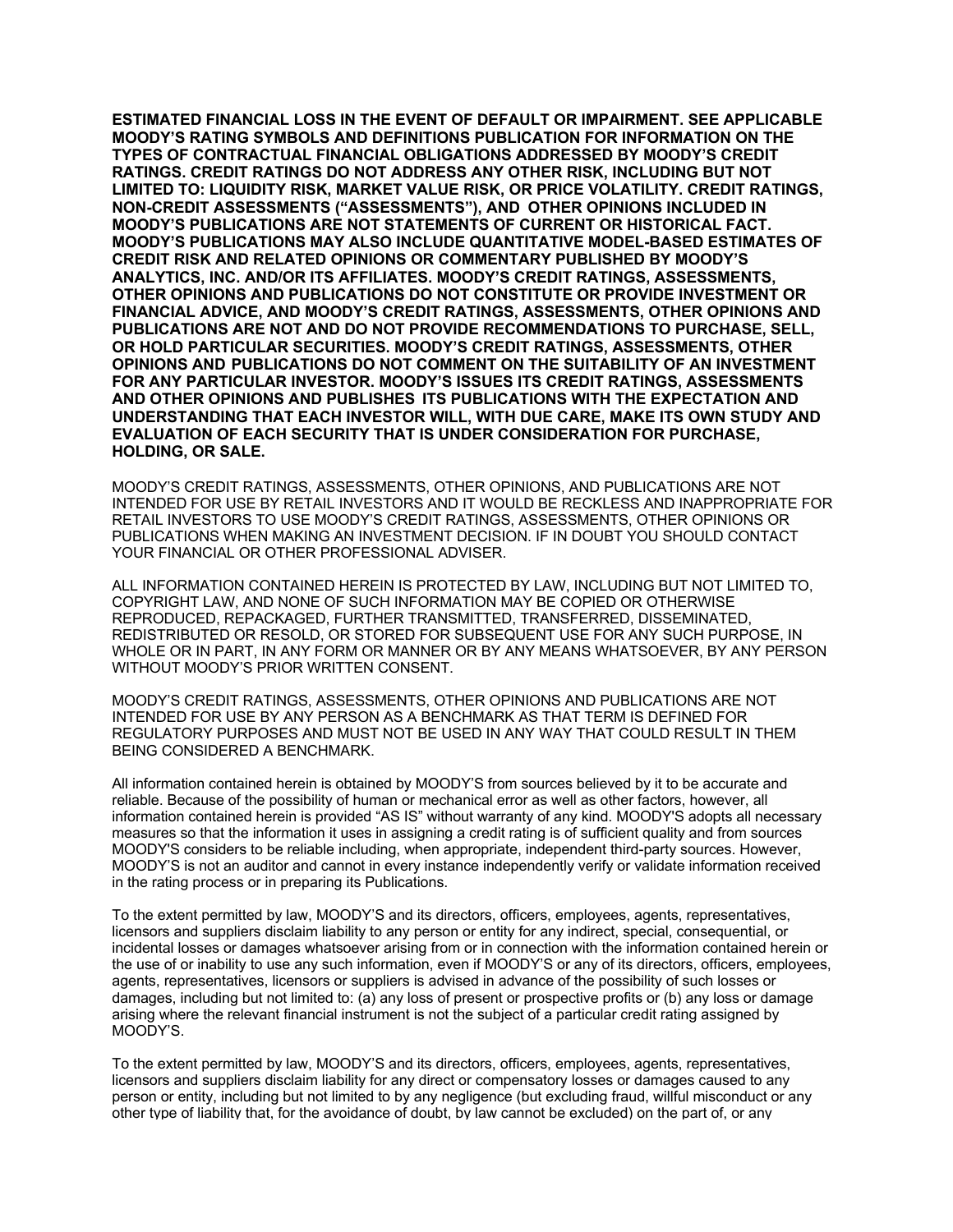**ESTIMATED FINANCIAL LOSS IN THE EVENT OF DEFAULT OR IMPAIRMENT. SEE APPLICABLE MOODY'S RATING SYMBOLS AND DEFINITIONS PUBLICATION FOR INFORMATION ON THE TYPES OF CONTRACTUAL FINANCIAL OBLIGATIONS ADDRESSED BY MOODY'S CREDIT RATINGS. CREDIT RATINGS DO NOT ADDRESS ANY OTHER RISK, INCLUDING BUT NOT LIMITED TO: LIQUIDITY RISK, MARKET VALUE RISK, OR PRICE VOLATILITY. CREDIT RATINGS, NON-CREDIT ASSESSMENTS ("ASSESSMENTS"), AND OTHER OPINIONS INCLUDED IN MOODY'S PUBLICATIONS ARE NOT STATEMENTS OF CURRENT OR HISTORICAL FACT. MOODY'S PUBLICATIONS MAY ALSO INCLUDE QUANTITATIVE MODEL-BASED ESTIMATES OF CREDIT RISK AND RELATED OPINIONS OR COMMENTARY PUBLISHED BY MOODY'S ANALYTICS, INC. AND/OR ITS AFFILIATES. MOODY'S CREDIT RATINGS, ASSESSMENTS, OTHER OPINIONS AND PUBLICATIONS DO NOT CONSTITUTE OR PROVIDE INVESTMENT OR FINANCIAL ADVICE, AND MOODY'S CREDIT RATINGS, ASSESSMENTS, OTHER OPINIONS AND PUBLICATIONS ARE NOT AND DO NOT PROVIDE RECOMMENDATIONS TO PURCHASE, SELL, OR HOLD PARTICULAR SECURITIES. MOODY'S CREDIT RATINGS, ASSESSMENTS, OTHER OPINIONS AND PUBLICATIONS DO NOT COMMENT ON THE SUITABILITY OF AN INVESTMENT FOR ANY PARTICULAR INVESTOR. MOODY'S ISSUES ITS CREDIT RATINGS, ASSESSMENTS AND OTHER OPINIONS AND PUBLISHES ITS PUBLICATIONS WITH THE EXPECTATION AND UNDERSTANDING THAT EACH INVESTOR WILL, WITH DUE CARE, MAKE ITS OWN STUDY AND EVALUATION OF EACH SECURITY THAT IS UNDER CONSIDERATION FOR PURCHASE, HOLDING, OR SALE.** 

MOODY'S CREDIT RATINGS, ASSESSMENTS, OTHER OPINIONS, AND PUBLICATIONS ARE NOT INTENDED FOR USE BY RETAIL INVESTORS AND IT WOULD BE RECKLESS AND INAPPROPRIATE FOR RETAIL INVESTORS TO USE MOODY'S CREDIT RATINGS, ASSESSMENTS, OTHER OPINIONS OR PUBLICATIONS WHEN MAKING AN INVESTMENT DECISION. IF IN DOUBT YOU SHOULD CONTACT YOUR FINANCIAL OR OTHER PROFESSIONAL ADVISER.

ALL INFORMATION CONTAINED HEREIN IS PROTECTED BY LAW, INCLUDING BUT NOT LIMITED TO, COPYRIGHT LAW, AND NONE OF SUCH INFORMATION MAY BE COPIED OR OTHERWISE REPRODUCED, REPACKAGED, FURTHER TRANSMITTED, TRANSFERRED, DISSEMINATED, REDISTRIBUTED OR RESOLD, OR STORED FOR SUBSEQUENT USE FOR ANY SUCH PURPOSE, IN WHOLE OR IN PART, IN ANY FORM OR MANNER OR BY ANY MEANS WHATSOEVER, BY ANY PERSON WITHOUT MOODY'S PRIOR WRITTEN CONSENT.

MOODY'S CREDIT RATINGS, ASSESSMENTS, OTHER OPINIONS AND PUBLICATIONS ARE NOT INTENDED FOR USE BY ANY PERSON AS A BENCHMARK AS THAT TERM IS DEFINED FOR REGULATORY PURPOSES AND MUST NOT BE USED IN ANY WAY THAT COULD RESULT IN THEM BEING CONSIDERED A BENCHMARK.

All information contained herein is obtained by MOODY'S from sources believed by it to be accurate and reliable. Because of the possibility of human or mechanical error as well as other factors, however, all information contained herein is provided "AS IS" without warranty of any kind. MOODY'S adopts all necessary measures so that the information it uses in assigning a credit rating is of sufficient quality and from sources MOODY'S considers to be reliable including, when appropriate, independent third-party sources. However, MOODY'S is not an auditor and cannot in every instance independently verify or validate information received in the rating process or in preparing its Publications.

To the extent permitted by law, MOODY'S and its directors, officers, employees, agents, representatives, licensors and suppliers disclaim liability to any person or entity for any indirect, special, consequential, or incidental losses or damages whatsoever arising from or in connection with the information contained herein or the use of or inability to use any such information, even if MOODY'S or any of its directors, officers, employees, agents, representatives, licensors or suppliers is advised in advance of the possibility of such losses or damages, including but not limited to: (a) any loss of present or prospective profits or (b) any loss or damage arising where the relevant financial instrument is not the subject of a particular credit rating assigned by MOODY'S.

To the extent permitted by law, MOODY'S and its directors, officers, employees, agents, representatives, licensors and suppliers disclaim liability for any direct or compensatory losses or damages caused to any person or entity, including but not limited to by any negligence (but excluding fraud, willful misconduct or any other type of liability that, for the avoidance of doubt, by law cannot be excluded) on the part of, or any